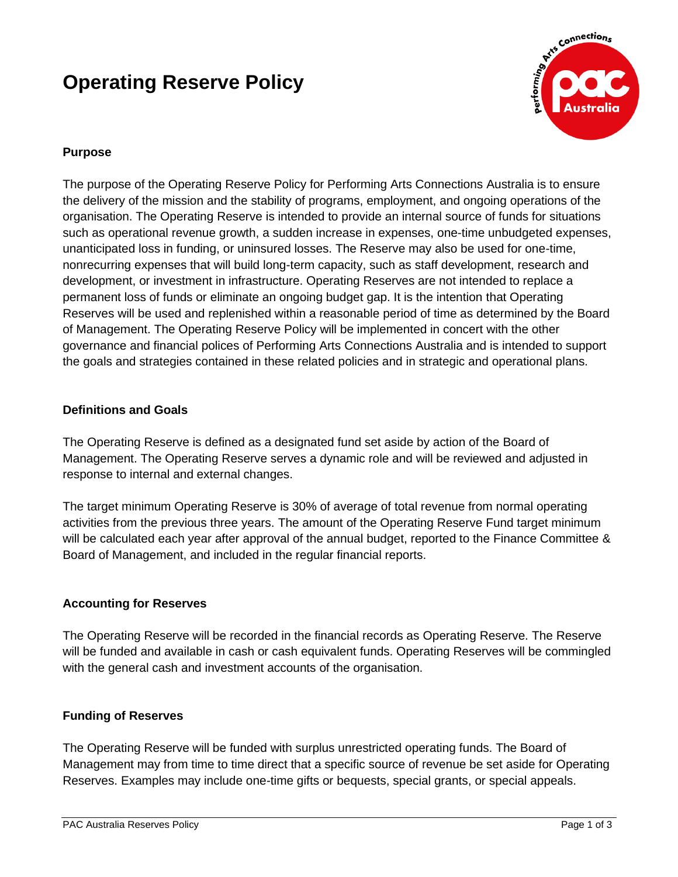# **Operating Reserve Policy**



## **Purpose**

The purpose of the Operating Reserve Policy for Performing Arts Connections Australia is to ensure the delivery of the mission and the stability of programs, employment, and ongoing operations of the organisation. The Operating Reserve is intended to provide an internal source of funds for situations such as operational revenue growth, a sudden increase in expenses, one-time unbudgeted expenses, unanticipated loss in funding, or uninsured losses. The Reserve may also be used for one-time, nonrecurring expenses that will build long-term capacity, such as staff development, research and development, or investment in infrastructure. Operating Reserves are not intended to replace a permanent loss of funds or eliminate an ongoing budget gap. It is the intention that Operating Reserves will be used and replenished within a reasonable period of time as determined by the Board of Management. The Operating Reserve Policy will be implemented in concert with the other governance and financial polices of Performing Arts Connections Australia and is intended to support the goals and strategies contained in these related policies and in strategic and operational plans.

#### **Definitions and Goals**

The Operating Reserve is defined as a designated fund set aside by action of the Board of Management. The Operating Reserve serves a dynamic role and will be reviewed and adjusted in response to internal and external changes.

The target minimum Operating Reserve is 30% of average of total revenue from normal operating activities from the previous three years. The amount of the Operating Reserve Fund target minimum will be calculated each year after approval of the annual budget, reported to the Finance Committee & Board of Management, and included in the regular financial reports.

## **Accounting for Reserves**

The Operating Reserve will be recorded in the financial records as Operating Reserve. The Reserve will be funded and available in cash or cash equivalent funds. Operating Reserves will be commingled with the general cash and investment accounts of the organisation.

## **Funding of Reserves**

The Operating Reserve will be funded with surplus unrestricted operating funds. The Board of Management may from time to time direct that a specific source of revenue be set aside for Operating Reserves. Examples may include one-time gifts or bequests, special grants, or special appeals.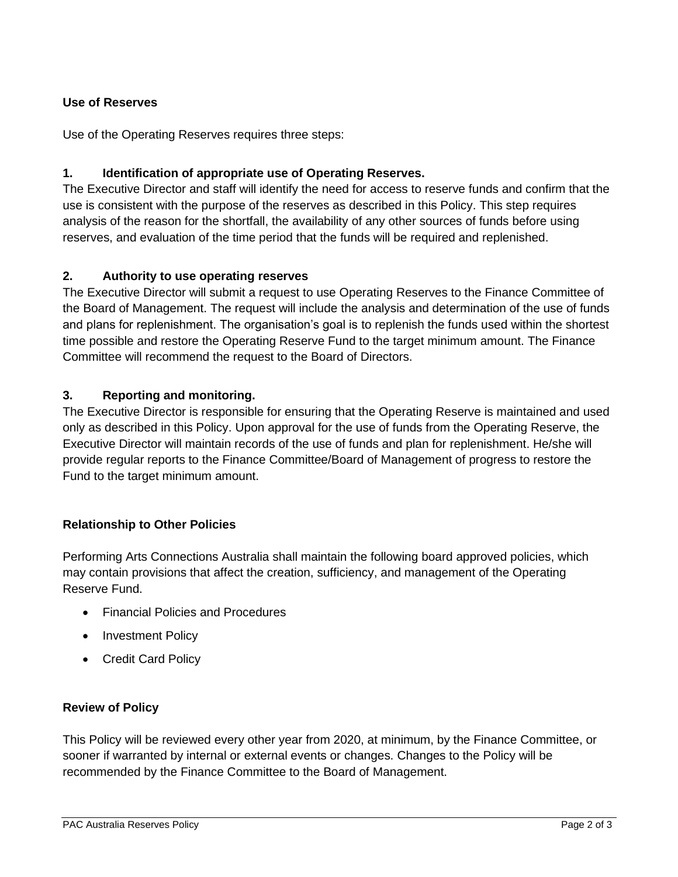## **Use of Reserves**

Use of the Operating Reserves requires three steps:

## **1. Identification of appropriate use of Operating Reserves.**

The Executive Director and staff will identify the need for access to reserve funds and confirm that the use is consistent with the purpose of the reserves as described in this Policy. This step requires analysis of the reason for the shortfall, the availability of any other sources of funds before using reserves, and evaluation of the time period that the funds will be required and replenished.

#### **2. Authority to use operating reserves**

The Executive Director will submit a request to use Operating Reserves to the Finance Committee of the Board of Management. The request will include the analysis and determination of the use of funds and plans for replenishment. The organisation's goal is to replenish the funds used within the shortest time possible and restore the Operating Reserve Fund to the target minimum amount. The Finance Committee will recommend the request to the Board of Directors.

#### **3. Reporting and monitoring.**

The Executive Director is responsible for ensuring that the Operating Reserve is maintained and used only as described in this Policy. Upon approval for the use of funds from the Operating Reserve, the Executive Director will maintain records of the use of funds and plan for replenishment. He/she will provide regular reports to the Finance Committee/Board of Management of progress to restore the Fund to the target minimum amount.

## **Relationship to Other Policies**

Performing Arts Connections Australia shall maintain the following board approved policies, which may contain provisions that affect the creation, sufficiency, and management of the Operating Reserve Fund.

- Financial Policies and Procedures
- Investment Policy
- Credit Card Policy

#### **Review of Policy**

This Policy will be reviewed every other year from 2020, at minimum, by the Finance Committee, or sooner if warranted by internal or external events or changes. Changes to the Policy will be recommended by the Finance Committee to the Board of Management.